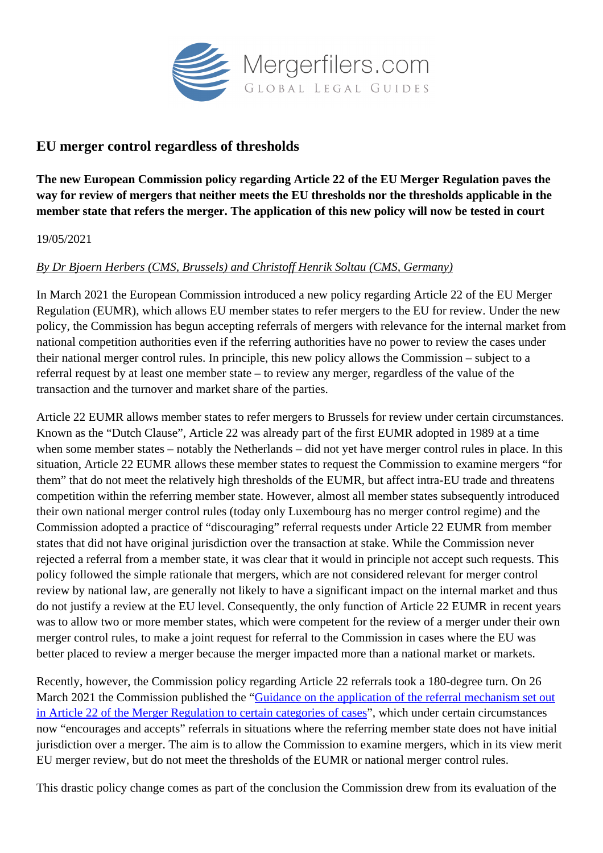

## **EU merger control regardless of thresholds**

**The new European Commission policy regarding Article 22 of the EU Merger Regulation paves the way for review of mergers that neither meets the EU thresholds nor the thresholds applicable in the member state that refers the merger. The application of this new policy will now be tested in court**

## 19/05/2021

## *By Dr Bjoern Herbers (CMS, Brussels) and Christoff Henrik Soltau (CMS, Germany)*

In March 2021 the European Commission introduced a new policy regarding Article 22 of the EU Merger Regulation (EUMR), which allows EU member states to refer mergers to the EU for review. Under the new policy, the Commission has begun accepting referrals of mergers with relevance for the internal market from national competition authorities even if the referring authorities have no power to review the cases under their national merger control rules. In principle, this new policy allows the Commission – subject to a referral request by at least one member state – to review any merger, regardless of the value of the transaction and the turnover and market share of the parties.

Article 22 EUMR allows member states to refer mergers to Brussels for review under certain circumstances. Known as the "Dutch Clause", Article 22 was already part of the first EUMR adopted in 1989 at a time when some member states – notably the Netherlands – did not yet have merger control rules in place. In this situation, Article 22 EUMR allows these member states to request the Commission to examine mergers "for them" that do not meet the relatively high thresholds of the EUMR, but affect intra-EU trade and threatens competition within the referring member state. However, almost all member states subsequently introduced their own national merger control rules (today only Luxembourg has no merger control regime) and the Commission adopted a practice of "discouraging" referral requests under Article 22 EUMR from member states that did not have original jurisdiction over the transaction at stake. While the Commission never rejected a referral from a member state, it was clear that it would in principle not accept such requests. This policy followed the simple rationale that mergers, which are not considered relevant for merger control review by national law, are generally not likely to have a significant impact on the internal market and thus do not justify a review at the EU level. Consequently, the only function of Article 22 EUMR in recent years was to allow two or more member states, which were competent for the review of a merger under their own merger control rules, to make a joint request for referral to the Commission in cases where the EU was better placed to review a merger because the merger impacted more than a national market or markets.

Recently, however, the Commission policy regarding Article 22 referrals took a 180-degree turn. On 26 March 2021 the Commission published the ["Guidance on the application of the referral mechanism set out](https://ec.europa.eu/competition/consultations/2021_merger_control/guidance_article_22_referrals.pdf) [in Article 22 of the Merger Regulation to certain categories of cases](https://ec.europa.eu/competition/consultations/2021_merger_control/guidance_article_22_referrals.pdf)", which under certain circumstances now "encourages and accepts" referrals in situations where the referring member state does not have initial jurisdiction over a merger. The aim is to allow the Commission to examine mergers, which in its view merit EU merger review, but do not meet the thresholds of the EUMR or national merger control rules.

This drastic policy change comes as part of the conclusion the Commission drew from its evaluation of the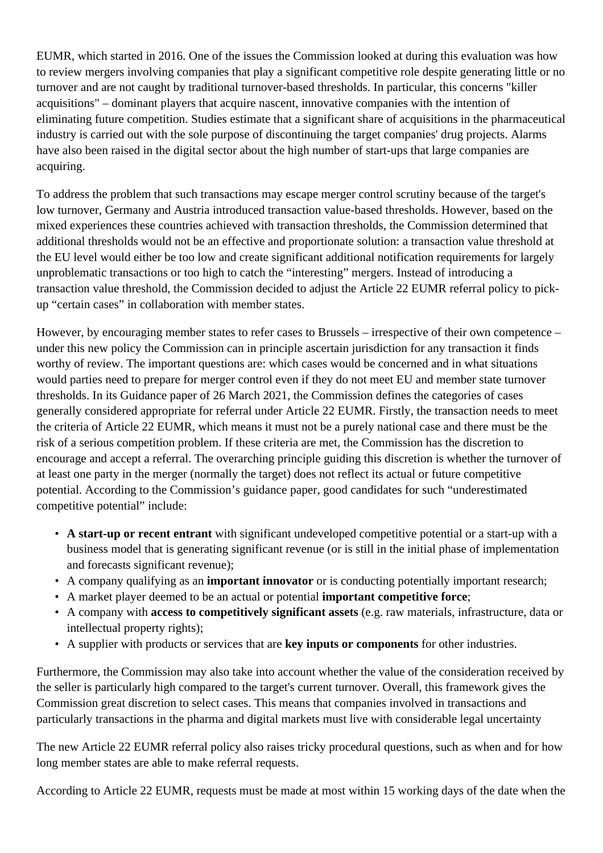EUMR, which started in 2016. One of the issues the Commission looked at during this evaluation was how to review mergers involving companies that play a significant competitive role despite generating little or no turnover and are not caught by traditional turnover-based thresholds. In particular, this concerns "killer acquisitions" – dominant players that acquire nascent, innovative companies with the intention of eliminating future competition. Studies estimate that a significant share of acquisitions in the pharmaceutical industry is carried out with the sole purpose of discontinuing the target companies' drug projects. Alarms have also been raised in the digital sector about the high number of start-ups that large companies are acquiring.

To address the problem that such transactions may escape merger control scrutiny because of the target's low turnover, Germany and Austria introduced transaction value-based thresholds. However, based on the mixed experiences these countries achieved with transaction thresholds, the Commission determined that additional thresholds would not be an effective and proportionate solution: a transaction value threshold at the EU level would either be too low and create significant additional notification requirements for largely unproblematic transactions or too high to catch the "interesting" mergers. Instead of introducing a transaction value threshold, the Commission decided to adjust the Article 22 EUMR referral policy to pickup "certain cases" in collaboration with member states.

However, by encouraging member states to refer cases to Brussels – irrespective of their own competence – under this new policy the Commission can in principle ascertain jurisdiction for any transaction it finds worthy of review. The important questions are: which cases would be concerned and in what situations would parties need to prepare for merger control even if they do not meet EU and member state turnover thresholds. In its Guidance paper of 26 March 2021, the Commission defines the categories of cases generally considered appropriate for referral under Article 22 EUMR. Firstly, the transaction needs to meet the criteria of Article 22 EUMR, which means it must not be a purely national case and there must be the risk of a serious competition problem. If these criteria are met, the Commission has the discretion to encourage and accept a referral. The overarching principle guiding this discretion is whether the turnover of at least one party in the merger (normally the target) does not reflect its actual or future competitive potential. According to the Commission's guidance paper, good candidates for such "underestimated competitive potential" include:

- **A start-up or recent entrant** with significant undeveloped competitive potential or a start-up with a business model that is generating significant revenue (or is still in the initial phase of implementation and forecasts significant revenue);
- A company qualifying as an **important innovator** or is conducting potentially important research;
- A market player deemed to be an actual or potential **important competitive force**;
- A company with **access to competitively significant assets** (e.g. raw materials, infrastructure, data or intellectual property rights);
- A supplier with products or services that are **key inputs or components** for other industries.

Furthermore, the Commission may also take into account whether the value of the consideration received by the seller is particularly high compared to the target's current turnover. Overall, this framework gives the Commission great discretion to select cases. This means that companies involved in transactions and particularly transactions in the pharma and digital markets must live with considerable legal uncertainty

The new Article 22 EUMR referral policy also raises tricky procedural questions, such as when and for how long member states are able to make referral requests.

According to Article 22 EUMR, requests must be made at most within 15 working days of the date when the